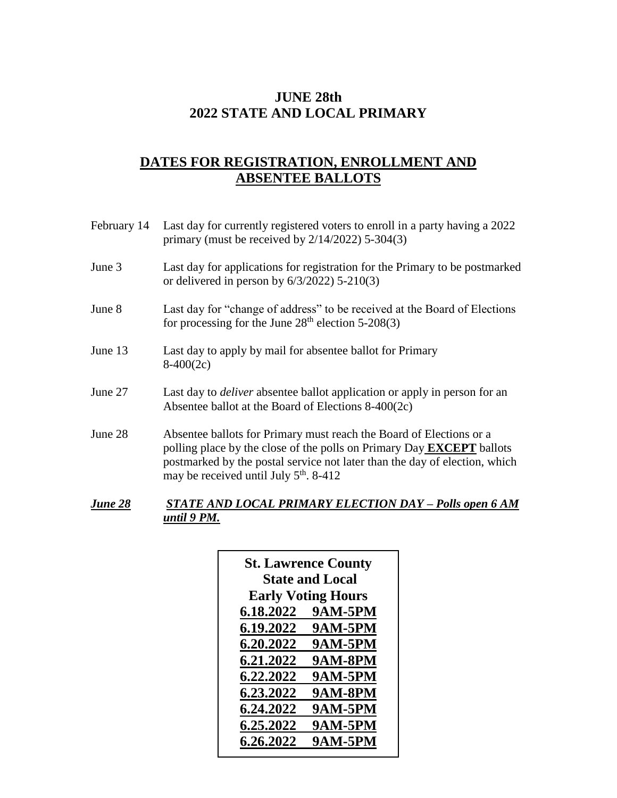## **JUNE 28th 2022 STATE AND LOCAL PRIMARY**

### **DATES FOR REGISTRATION, ENROLLMENT AND ABSENTEE BALLOTS**

| February 14    | Last day for currently registered voters to enroll in a party having a 2022<br>primary (must be received by $2/14/2022$ ) 5-304(3)                                                                                                                                                      |
|----------------|-----------------------------------------------------------------------------------------------------------------------------------------------------------------------------------------------------------------------------------------------------------------------------------------|
| June 3         | Last day for applications for registration for the Primary to be postmarked<br>or delivered in person by $6/3/2022$ ) 5-210(3)                                                                                                                                                          |
| June 8         | Last day for "change of address" to be received at the Board of Elections<br>for processing for the June $28th$ election 5-208(3)                                                                                                                                                       |
| June 13        | Last day to apply by mail for absentee ballot for Primary<br>$8-400(2c)$                                                                                                                                                                                                                |
| June 27        | Last day to <i>deliver</i> absentee ballot application or apply in person for an<br>Absentee ballot at the Board of Elections $8-400(2c)$                                                                                                                                               |
| June 28        | Absentee ballots for Primary must reach the Board of Elections or a<br>polling place by the close of the polls on Primary Day <b>EXCEPT</b> ballots<br>postmarked by the postal service not later than the day of election, which<br>may be received until July 5 <sup>th</sup> . 8-412 |
| <b>June 28</b> | <b>STATE AND LOCAL PRIMARY ELECTION DAY - Polls open 6 AM</b>                                                                                                                                                                                                                           |

# *until 9 PM.*

| <b>Early Voting Hours</b><br>6.18.2022<br><b>9AM-5PM</b><br>6.19.2022<br><b>9AM-5PM</b> |
|-----------------------------------------------------------------------------------------|
|                                                                                         |
|                                                                                         |
|                                                                                         |
| 6.20.2022<br><b>9AM-5PM</b>                                                             |
| <b>9AM-8PM</b><br>6.21.2022                                                             |
| <b>9AM-5PM</b><br>6.22.2022                                                             |
| <b>9AM-8PM</b><br>6.23.2022                                                             |
| 6.24.2022<br><b>9AM-5PM</b>                                                             |
| 6.25.2022<br><b>9AM-5PM</b>                                                             |
| <b>9AM-5PM</b><br>6.26.2022                                                             |